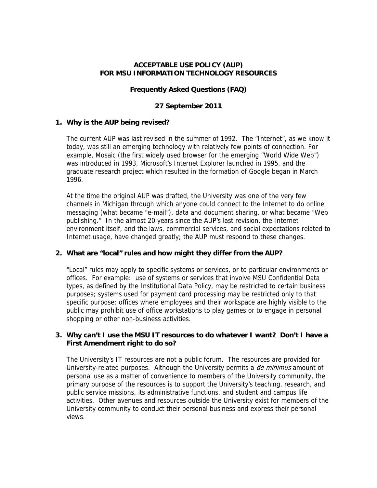## **ACCEPTABLE USE POLICY (AUP) FOR MSU INFORMATION TECHNOLOGY RESOURCES**

## **Frequently Asked Questions (FAQ)**

## **27 September 2011**

## **1. Why is the AUP being revised?**

The current AUP was last revised in the summer of 1992. The "Internet", as we know it today, was still an emerging technology with relatively few points of connection. For example, Mosaic (the first widely used browser for the emerging "World Wide Web") was introduced in 1993, Microsoft's Internet Explorer launched in 1995, and the graduate research project which resulted in the formation of Google began in March 1996.

At the time the original AUP was drafted, the University was one of the very few channels in Michigan through which anyone could connect to the Internet to do online messaging (what became "e-mail"), data and document sharing, or what became "Web publishing." In the almost 20 years since the AUP's last revision, the Internet environment itself, and the laws, commercial services, and social expectations related to Internet usage, have changed greatly; the AUP must respond to these changes.

## **2. What are "local" rules and how might they differ from the AUP?**

"Local" rules may apply to specific systems or services, or to particular environments or offices. For example: use of systems or services that involve MSU Confidential Data types, as defined by the Institutional Data Policy, may be restricted to certain business purposes; systems used for payment card processing may be restricted only to that specific purpose; offices where employees and their workspace are highly visible to the public may prohibit use of office workstations to play games or to engage in personal shopping or other non-business activities.

## **3. Why can't I use the MSU IT resources to do whatever I want? Don't I have a First Amendment right to do so?**

The University's IT resources are not a public forum. The resources are provided for University-related purposes. Although the University permits a *de minimus* amount of personal use as a matter of convenience to members of the University community, the primary purpose of the resources is to support the University's teaching, research, and public service missions, its administrative functions, and student and campus life activities. Other avenues and resources outside the University exist for members of the University community to conduct their personal business and express their personal views.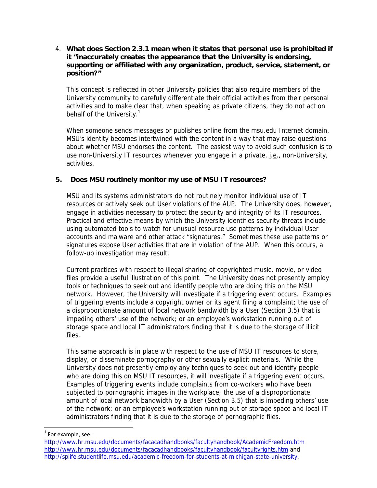## 4. **What does Section 2.3.1 mean when it states that personal use is prohibited if it "inaccurately creates the appearance that the University is endorsing, supporting or affiliated with any organization, product, service, statement, or position?"**

This concept is reflected in other University policies that also require members of the University community to carefully differentiate their official activities from their personal activities and to make clear that, when speaking as private citizens, they do not act on behalf of the University.<sup>1</sup>

When someone sends messages or publishes online from the msu.edu Internet domain, MSU's identity becomes intertwined with the content in a way that may raise questions about whether MSU endorses the content. The easiest way to avoid such confusion is to use non-University IT resources whenever you engage in a private, i.e., non-University, activities.

## **5. Does MSU routinely monitor my use of MSU IT resources?**

MSU and its systems administrators do not routinely monitor individual use of IT resources or actively seek out User violations of the AUP. The University does, however, engage in activities necessary to protect the security and integrity of its IT resources. Practical and effective means by which the University identifies security threats include using automated tools to watch for unusual resource use patterns by individual User accounts and malware and other attack "signatures." Sometimes these use patterns or signatures expose User activities that are in violation of the AUP. When this occurs, a follow-up investigation may result.

 Current practices with respect to illegal sharing of copyrighted music, movie, or video files provide a useful illustration of this point. The University does not presently employ tools or techniques to seek out and identify people who are doing this on the MSU network. However, the University will investigate if a triggering event occurs. Examples of triggering events include a copyright owner or its agent filing a complaint; the use of a disproportionate amount of local network bandwidth by a User (Section 3.5) that is impeding others' use of the network; or an employee's workstation running out of storage space and local IT administrators finding that it is due to the storage of illicit files.

This same approach is in place with respect to the use of MSU IT resources to store, display, or disseminate pornography or other sexually explicit materials. While the University does not presently employ any techniques to seek out and identify people who are doing this on MSU IT resources, it will investigate if a triggering event occurs. Examples of triggering events include complaints from co-workers who have been subjected to pornographic images in the workplace; the use of a disproportionate amount of local network bandwidth by a User (Section 3.5) that is impeding others' use of the network; or an employee's workstation running out of storage space and local IT administrators finding that it is due to the storage of pornographic files.

 $1$  For example, see:

http://www.hr.msu.edu/documents/facacadhandbooks/facultyhandbook/AcademicFreedom.htm http://www.hr.msu.edu/documents/facacadhandbooks/facultyhandbook/facultyrights.htm and http://splife.studentlife.msu.edu/academic-freedom-for-students-at-michigan-state-university.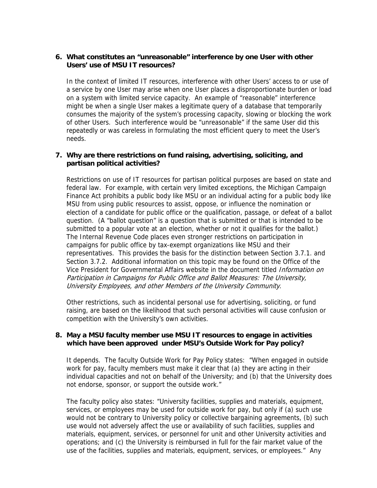## **6. What constitutes an "unreasonable" interference by one User with other Users' use of MSU IT resources?**

In the context of limited IT resources, interference with other Users' access to or use of a service by one User may arise when one User places a disproportionate burden or load on a system with limited service capacity. An example of "reasonable" interference might be when a single User makes a legitimate query of a database that temporarily consumes the majority of the system's processing capacity, slowing or blocking the work of other Users. Such interference would be "unreasonable" if the same User did this repeatedly or was careless in formulating the most efficient query to meet the User's needs.

## **7. Why are there restrictions on fund raising, advertising, soliciting, and partisan political activities?**

Restrictions on use of IT resources for partisan political purposes are based on state and federal law. For example, with certain very limited exceptions, the Michigan Campaign Finance Act prohibits a public body like MSU or an individual acting for a public body like MSU from using public resources to assist, oppose, or influence the nomination or election of a candidate for public office or the qualification, passage, or defeat of a ballot question. (A "ballot question" is a question that is submitted or that is intended to be submitted to a popular vote at an election, whether or not it qualifies for the ballot.) The Internal Revenue Code places even stronger restrictions on participation in campaigns for public office by tax-exempt organizations like MSU and their representatives. This provides the basis for the distinction between Section 3.7.1. and Section 3.7.2. Additional information on this topic may be found on the Office of the Vice President for Governmental Affairs website in the document titled *Information on* Participation in Campaigns for Public Office and Ballot Measures: The University, University Employees, and other Members of the University Community.

Other restrictions, such as incidental personal use for advertising, soliciting, or fund raising, are based on the likelihood that such personal activities will cause confusion or competition with the University's own activities.

## **8. May a MSU faculty member use MSU IT resources to engage in activities which have been approved under MSU's Outside Work for Pay policy?**

It depends. The faculty Outside Work for Pay Policy states: "When engaged in outside work for pay, faculty members must make it clear that (a) they are acting in their individual capacities and not on behalf of the University; and (b) that the University does not endorse, sponsor, or support the outside work."

The faculty policy also states: "University facilities, supplies and materials, equipment, services, or employees may be used for outside work for pay, but only if (a) such use would not be contrary to University policy or collective bargaining agreements, (b) such use would not adversely affect the use or availability of such facilities, supplies and materials, equipment, services, or personnel for unit and other University activities and operations; and (c) the University is reimbursed in full for the fair market value of the use of the facilities, supplies and materials, equipment, services, or employees." Any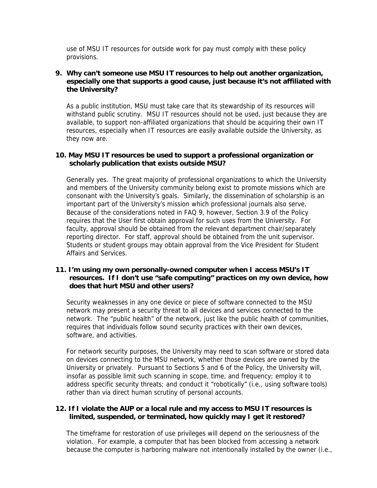use of MSU IT resources for outside work for pay must comply with these policy provisions.

## **9. Why can't someone use MSU IT resources to help out another organization, especially one that supports a good cause, just because it's not affiliated with the University?**

As a public institution, MSU must take care that its stewardship of its resources will withstand public scrutiny. MSU IT resources should not be used, just because they are available, to support non-affiliated organizations that should be acquiring their own IT resources, especially when IT resources are easily available outside the University, as they now are.

#### **10. May MSU IT resources be used to support a professional organization or scholarly publication that exists outside MSU?**

Generally yes. The great majority of professional organizations to which the University and members of the University community belong exist to promote missions which are consonant with the University's goals. Similarly, the dissemination of scholarship is an important part of the University's mission which professional journals also serve. Because of the considerations noted in FAQ 9, however, Section 3.9 of the Policy requires that the User first obtain approval for such uses from the University. For faculty, approval should be obtained from the relevant department chair/separately reporting director. For staff, approval should be obtained from the unit supervisor. Students or student groups may obtain approval from the Vice President for Student Affairs and Services.

### **11. I'm using my own personally-owned computer when I access MSU's IT resources. If I don't use "safe computing" practices on my own device, how does that hurt MSU and other users?**

Security weaknesses in any one device or piece of software connected to the MSU network may present a security threat to all devices and services connected to the network. The "public health" of the network, just like the public health of communities, requires that individuals follow sound security practices with their own devices, software, and activities.

For network security purposes, the University may need to scan software or stored data on devices connecting to the MSU network, whether those devices are owned by the University or privately. Pursuant to Sections 5 and 6 of the Policy, the University will, insofar as possible limit such scanning in scope, time, and frequency; employ it to address specific security threats; and conduct it "robotically" (i.e., using software tools) rather than via direct human scrutiny of personal accounts.

#### **12. If I violate the AUP or a local rule and my access to MSU IT resources is limited, suspended, or terminated, how quickly may I get it restored?**

The timeframe for restoration of use privileges will depend on the seriousness of the violation. For example, a computer that has been blocked from accessing a network because the computer is harboring malware not intentionally installed by the owner (i.e.,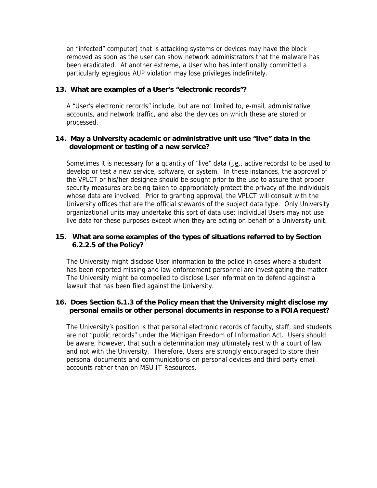an "infected" computer) that is attacking systems or devices may have the block removed as soon as the user can show network administrators that the malware has been eradicated. At another extreme, a User who has intentionally committed a particularly egregious AUP violation may lose privileges indefinitely.

#### **13. What are examples of a User's "electronic records"?**

A "User's electronic records" include, but are not limited to, e-mail, administrative accounts, and network traffic, and also the devices on which these are stored or processed.

## **14. May a University academic or administrative unit use "live" data in the development or testing of a new service?**

Sometimes it is necessary for a quantity of "live" data  $(i.e.,$  active records) to be used to develop or test a new service, software, or system. In these instances, the approval of the VPLCT or his/her designee should be sought prior to the use to assure that proper security measures are being taken to appropriately protect the privacy of the individuals whose data are involved. Prior to granting approval, the VPLCT will consult with the University offices that are the official stewards of the subject data type. Only University organizational units may undertake this sort of data use; individual Users may not use live data for these purposes except when they are acting on behalf of a University unit.

## **15. What are some examples of the types of situations referred to by Section 6.2.2.5 of the Policy?**

The University might disclose User information to the police in cases where a student has been reported missing and law enforcement personnel are investigating the matter. The University might be compelled to disclose User information to defend against a lawsuit that has been filed against the University.

## **16. Does Section 6.1.3 of the Policy mean that the University might disclose my personal emails or other personal documents in response to a FOIA request?**

The University's position is that personal electronic records of faculty, staff, and students are not "public records" under the Michigan Freedom of Information Act. Users should be aware, however, that such a determination may ultimately rest with a court of law and not with the University. Therefore, Users are strongly encouraged to store their personal documents and communications on personal devices and third party email accounts rather than on MSU IT Resources.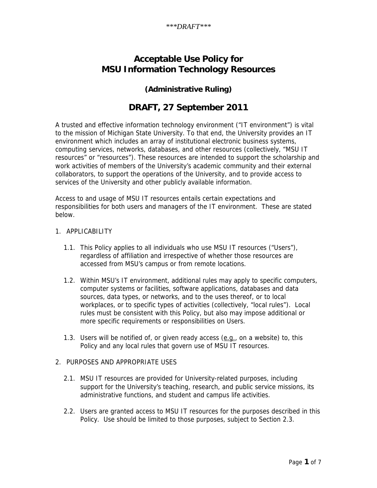# **Acceptable Use Policy for MSU Information Technology Resources**

## **(Administrative Ruling)**

# **DRAFT, 27 September 2011**

A trusted and effective information technology environment ("IT environment") is vital to the mission of Michigan State University. To that end, the University provides an IT environment which includes an array of institutional electronic business systems, computing services, networks, databases, and other resources (collectively, "MSU IT resources" or "resources"). These resources are intended to support the scholarship and work activities of members of the University's academic community and their external collaborators, to support the operations of the University, and to provide access to services of the University and other publicly available information.

Access to and usage of MSU IT resources entails certain expectations and responsibilities for both users and managers of the IT environment. These are stated below.

#### 1. APPLICABILITY

- 1.1. This Policy applies to all individuals who use MSU IT resources ("Users"), regardless of affiliation and irrespective of whether those resources are accessed from MSU's campus or from remote locations.
- 1.2. Within MSU's IT environment, additional rules may apply to specific computers, computer systems or facilities, software applications, databases and data sources, data types, or networks, and to the uses thereof, or to local workplaces, or to specific types of activities (collectively, "local rules"). Local rules must be consistent with this Policy, but also may impose additional or more specific requirements or responsibilities on Users.
- 1.3. Users will be notified of, or given ready access (e.g., on a website) to, this Policy and any local rules that govern use of MSU IT resources.

## 2. PURPOSES AND APPROPRIATE USES

- 2.1. MSU IT resources are provided for University-related purposes, including support for the University's teaching, research, and public service missions, its administrative functions, and student and campus life activities.
- 2.2. Users are granted access to MSU IT resources for the purposes described in this Policy. Use should be limited to those purposes, subject to Section 2.3.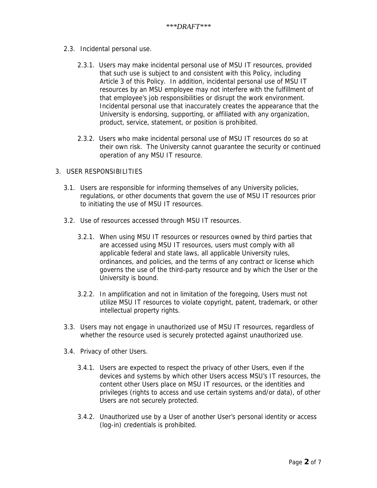- 2.3. Incidental personal use.
	- 2.3.1. Users may make incidental personal use of MSU IT resources, provided that such use is subject to and consistent with this Policy, including Article 3 of this Policy. In addition, incidental personal use of MSU IT resources by an MSU employee may not interfere with the fulfillment of that employee's job responsibilities or disrupt the work environment. Incidental personal use that inaccurately creates the appearance that the University is endorsing, supporting, or affiliated with any organization, product, service, statement, or position is prohibited.
	- 2.3.2. Users who make incidental personal use of MSU IT resources do so at their own risk. The University cannot guarantee the security or continued operation of any MSU IT resource.
- 3. USER RESPONSIBILITIES
	- 3.1. Users are responsible for informing themselves of any University policies, regulations, or other documents that govern the use of MSU IT resources prior to initiating the use of MSU IT resources.
	- 3.2. Use of resources accessed through MSU IT resources.
		- 3.2.1. When using MSU IT resources or resources owned by third parties that are accessed using MSU IT resources, users must comply with all applicable federal and state laws, all applicable University rules, ordinances, and policies, and the terms of any contract or license which governs the use of the third-party resource and by which the User or the University is bound.
		- 3.2.2. In amplification and not in limitation of the foregoing, Users must not utilize MSU IT resources to violate copyright, patent, trademark, or other intellectual property rights.
	- 3.3. Users may not engage in unauthorized use of MSU IT resources, regardless of whether the resource used is securely protected against unauthorized use.
	- 3.4. Privacy of other Users.
		- 3.4.1. Users are expected to respect the privacy of other Users, even if the devices and systems by which other Users access MSU's IT resources, the content other Users place on MSU IT resources, or the identities and privileges (rights to access and use certain systems and/or data), of other Users are not securely protected.
		- 3.4.2. Unauthorized use by a User of another User's personal identity or access (log-in) credentials is prohibited.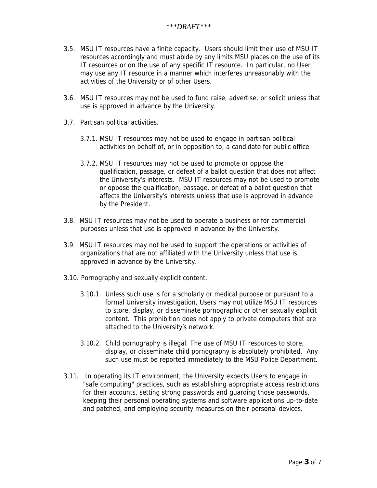- 3.5. MSU IT resources have a finite capacity. Users should limit their use of MSU IT resources accordingly and must abide by any limits MSU places on the use of its IT resources or on the use of any specific IT resource. In particular, no User may use any IT resource in a manner which interferes unreasonably with the activities of the University or of other Users.
- 3.6. MSU IT resources may not be used to fund raise, advertise, or solicit unless that use is approved in advance by the University.
- 3.7. Partisan political activities.
	- 3.7.1. MSU IT resources may not be used to engage in partisan political activities on behalf of, or in opposition to, a candidate for public office.
	- 3.7.2. MSU IT resources may not be used to promote or oppose the qualification, passage, or defeat of a ballot question that does not affect the University's interests. MSU IT resources may not be used to promote or oppose the qualification, passage, or defeat of a ballot question that affects the University's interests unless that use is approved in advance by the President.
- 3.8. MSU IT resources may not be used to operate a business or for commercial purposes unless that use is approved in advance by the University.
- 3.9. MSU IT resources may not be used to support the operations or activities of organizations that are not affiliated with the University unless that use is approved in advance by the University.
- 3.10. Pornography and sexually explicit content.
	- 3.10.1. Unless such use is for a scholarly or medical purpose or pursuant to a formal University investigation, Users may not utilize MSU IT resources to store, display, or disseminate pornographic or other sexually explicit content. This prohibition does not apply to private computers that are attached to the University's network.
	- 3.10.2. Child pornography is illegal. The use of MSU IT resources to store, display, or disseminate child pornography is absolutely prohibited. Any such use must be reported immediately to the MSU Police Department.
- 3.11. In operating its IT environment, the University expects Users to engage in "safe computing" practices, such as establishing appropriate access restrictions for their accounts, setting strong passwords and guarding those passwords, keeping their personal operating systems and software applications up-to-date and patched, and employing security measures on their personal devices.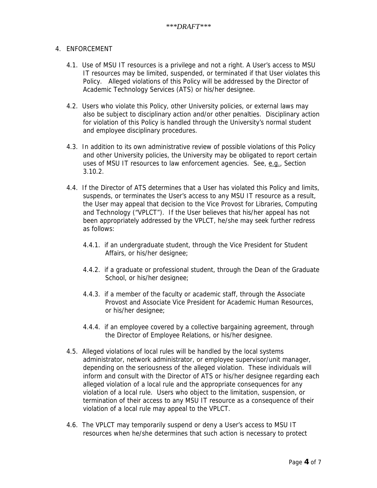## 4. ENFORCEMENT

- 4.1. Use of MSU IT resources is a privilege and not a right. A User's access to MSU IT resources may be limited, suspended, or terminated if that User violates this Policy. Alleged violations of this Policy will be addressed by the Director of Academic Technology Services (ATS) or his/her designee.
- 4.2. Users who violate this Policy, other University policies, or external laws may also be subject to disciplinary action and/or other penalties. Disciplinary action for violation of this Policy is handled through the University's normal student and employee disciplinary procedures.
- 4.3. In addition to its own administrative review of possible violations of this Policy and other University policies, the University may be obligated to report certain uses of MSU IT resources to law enforcement agencies. See, e.g., Section 3.10.2.
- 4.4. If the Director of ATS determines that a User has violated this Policy and limits, suspends, or terminates the User's access to any MSU IT resource as a result, the User may appeal that decision to the Vice Provost for Libraries, Computing and Technology ("VPLCT"). If the User believes that his/her appeal has not been appropriately addressed by the VPLCT, he/she may seek further redress as follows:
	- 4.4.1. if an undergraduate student, through the Vice President for Student Affairs, or his/her designee;
	- 4.4.2. if a graduate or professional student, through the Dean of the Graduate School, or his/her designee;
	- 4.4.3. if a member of the faculty or academic staff, through the Associate Provost and Associate Vice President for Academic Human Resources, or his/her designee;
	- 4.4.4. if an employee covered by a collective bargaining agreement, through the Director of Employee Relations, or his/her designee.
- 4.5. Alleged violations of local rules will be handled by the local systems administrator, network administrator, or employee supervisor/unit manager, depending on the seriousness of the alleged violation. These individuals will inform and consult with the Director of ATS or his/her designee regarding each alleged violation of a local rule and the appropriate consequences for any violation of a local rule. Users who object to the limitation, suspension, or termination of their access to any MSU IT resource as a consequence of their violation of a local rule may appeal to the VPLCT.
- 4.6. The VPLCT may temporarily suspend or deny a User's access to MSU IT resources when he/she determines that such action is necessary to protect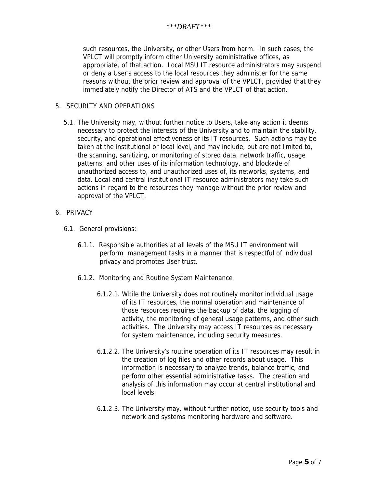such resources, the University, or other Users from harm. In such cases, the VPLCT will promptly inform other University administrative offices, as appropriate, of that action. Local MSU IT resource administrators may suspend or deny a User's access to the local resources they administer for the same reasons without the prior review and approval of the VPLCT, provided that they immediately notify the Director of ATS and the VPLCT of that action.

#### 5. SECURITY AND OPERATIONS

- 5.1. The University may, without further notice to Users, take any action it deems necessary to protect the interests of the University and to maintain the stability, security, and operational effectiveness of its IT resources. Such actions may be taken at the institutional or local level, and may include, but are not limited to, the scanning, sanitizing, or monitoring of stored data, network traffic, usage patterns, and other uses of its information technology, and blockade of unauthorized access to, and unauthorized uses of, its networks, systems, and data. Local and central institutional IT resource administrators may take such actions in regard to the resources they manage without the prior review and approval of the VPLCT.
- 6. PRIVACY
	- 6.1. General provisions:
		- 6.1.1. Responsible authorities at all levels of the MSU IT environment will perform management tasks in a manner that is respectful of individual privacy and promotes User trust.
		- 6.1.2. Monitoring and Routine System Maintenance
			- 6.1.2.1. While the University does not routinely monitor individual usage of its IT resources, the normal operation and maintenance of those resources requires the backup of data, the logging of activity, the monitoring of general usage patterns, and other such activities. The University may access IT resources as necessary for system maintenance, including security measures.
			- 6.1.2.2. The University's routine operation of its IT resources may result in the creation of log files and other records about usage. This information is necessary to analyze trends, balance traffic, and perform other essential administrative tasks. The creation and analysis of this information may occur at central institutional and local levels.
			- 6.1.2.3. The University may, without further notice, use security tools and network and systems monitoring hardware and software.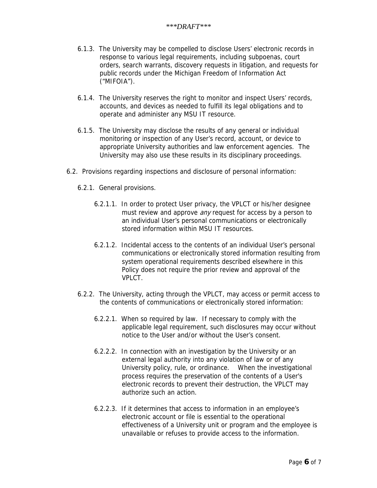- 6.1.3. The University may be compelled to disclose Users' electronic records in response to various legal requirements, including subpoenas, court orders, search warrants, discovery requests in litigation, and requests for public records under the Michigan Freedom of Information Act ("MIFOIA").
- 6.1.4. The University reserves the right to monitor and inspect Users' records, accounts, and devices as needed to fulfill its legal obligations and to operate and administer any MSU IT resource.
- 6.1.5. The University may disclose the results of any general or individual monitoring or inspection of any User's record, account, or device to appropriate University authorities and law enforcement agencies. The University may also use these results in its disciplinary proceedings.
- 6.2. Provisions regarding inspections and disclosure of personal information:
	- 6.2.1. General provisions.
		- 6.2.1.1. In order to protect User privacy, the VPLCT or his/her designee must review and approve *any* request for access by a person to an individual User's personal communications or electronically stored information within MSU IT resources.
		- 6.2.1.2. Incidental access to the contents of an individual User's personal communications or electronically stored information resulting from system operational requirements described elsewhere in this Policy does not require the prior review and approval of the VPLCT.
	- 6.2.2. The University, acting through the VPLCT, may access or permit access to the contents of communications or electronically stored information:
		- 6.2.2.1. When so required by law. If necessary to comply with the applicable legal requirement, such disclosures may occur without notice to the User and/or without the User's consent.
		- 6.2.2.2. In connection with an investigation by the University or an external legal authority into any violation of law or of any University policy, rule, or ordinance. When the investigational process requires the preservation of the contents of a User's electronic records to prevent their destruction, the VPLCT may authorize such an action.
		- 6.2.2.3. If it determines that access to information in an employee's electronic account or file is essential to the operational effectiveness of a University unit or program and the employee is unavailable or refuses to provide access to the information.